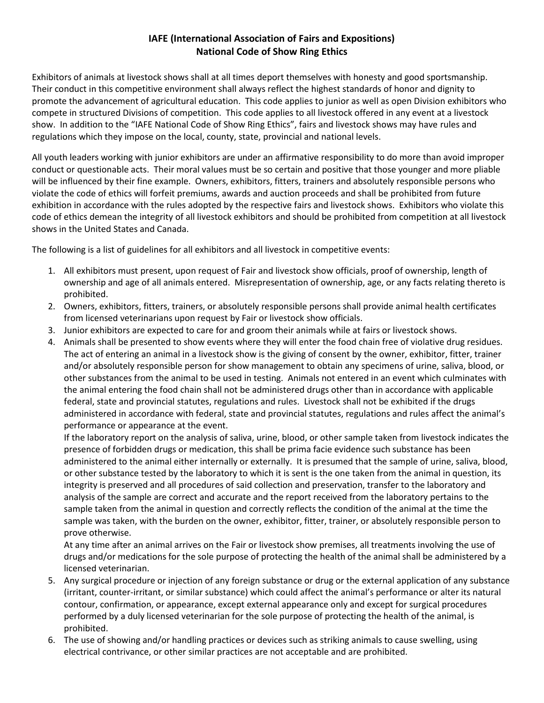## **IAFE (International Association of Fairs and Expositions) National Code of Show Ring Ethics**

Exhibitors of animals at livestock shows shall at all times deport themselves with honesty and good sportsmanship. Their conduct in this competitive environment shall always reflect the highest standards of honor and dignity to promote the advancement of agricultural education. This code applies to junior as well as open Division exhibitors who compete in structured Divisions of competition. This code applies to all livestock offered in any event at a livestock show. In addition to the "IAFE National Code of Show Ring Ethics", fairs and livestock shows may have rules and regulations which they impose on the local, county, state, provincial and national levels.

All youth leaders working with junior exhibitors are under an affirmative responsibility to do more than avoid improper conduct or questionable acts. Their moral values must be so certain and positive that those younger and more pliable will be influenced by their fine example. Owners, exhibitors, fitters, trainers and absolutely responsible persons who violate the code of ethics will forfeit premiums, awards and auction proceeds and shall be prohibited from future exhibition in accordance with the rules adopted by the respective fairs and livestock shows. Exhibitors who violate this code of ethics demean the integrity of all livestock exhibitors and should be prohibited from competition at all livestock shows in the United States and Canada.

The following is a list of guidelines for all exhibitors and all livestock in competitive events:

- 1. All exhibitors must present, upon request of Fair and livestock show officials, proof of ownership, length of ownership and age of all animals entered. Misrepresentation of ownership, age, or any facts relating thereto is prohibited.
- 2. Owners, exhibitors, fitters, trainers, or absolutely responsible persons shall provide animal health certificates from licensed veterinarians upon request by Fair or livestock show officials.
- 3. Junior exhibitors are expected to care for and groom their animals while at fairs or livestock shows.
- 4. Animals shall be presented to show events where they will enter the food chain free of violative drug residues. The act of entering an animal in a livestock show is the giving of consent by the owner, exhibitor, fitter, trainer and/or absolutely responsible person for show management to obtain any specimens of urine, saliva, blood, or other substances from the animal to be used in testing. Animals not entered in an event which culminates with the animal entering the food chain shall not be administered drugs other than in accordance with applicable federal, state and provincial statutes, regulations and rules. Livestock shall not be exhibited if the drugs administered in accordance with federal, state and provincial statutes, regulations and rules affect the animal's performance or appearance at the event.

If the laboratory report on the analysis of saliva, urine, blood, or other sample taken from livestock indicates the presence of forbidden drugs or medication, this shall be prima facie evidence such substance has been administered to the animal either internally or externally. It is presumed that the sample of urine, saliva, blood, or other substance tested by the laboratory to which it is sent is the one taken from the animal in question, its integrity is preserved and all procedures of said collection and preservation, transfer to the laboratory and analysis of the sample are correct and accurate and the report received from the laboratory pertains to the sample taken from the animal in question and correctly reflects the condition of the animal at the time the sample was taken, with the burden on the owner, exhibitor, fitter, trainer, or absolutely responsible person to prove otherwise.

At any time after an animal arrives on the Fair or livestock show premises, all treatments involving the use of drugs and/or medications for the sole purpose of protecting the health of the animal shall be administered by a licensed veterinarian.

- 5. Any surgical procedure or injection of any foreign substance or drug or the external application of any substance (irritant, counter-irritant, or similar substance) which could affect the animal's performance or alter its natural contour, confirmation, or appearance, except external appearance only and except for surgical procedures performed by a duly licensed veterinarian for the sole purpose of protecting the health of the animal, is prohibited.
- 6. The use of showing and/or handling practices or devices such as striking animals to cause swelling, using electrical contrivance, or other similar practices are not acceptable and are prohibited.